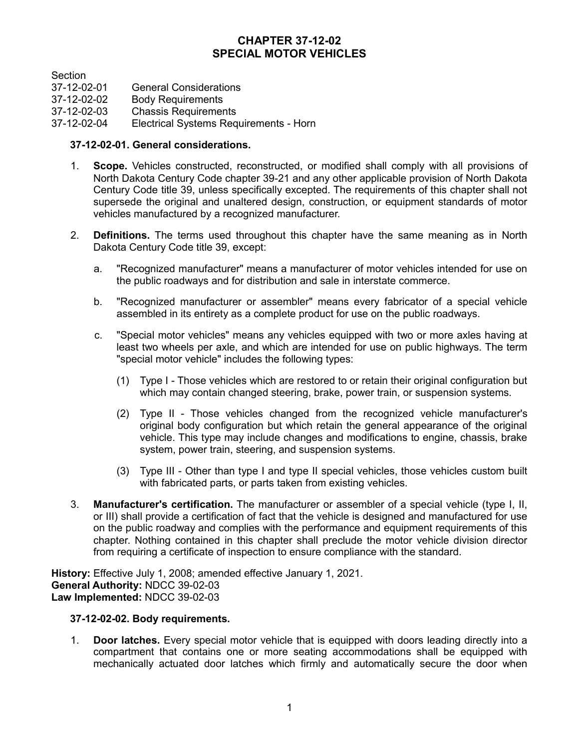# **CHAPTER 37-12-02 SPECIAL MOTOR VEHICLES**

**Section** 

- 37-12-02-01 General Considerations<br>37-12-02-02 Body Requirements
- **Body Requirements**
- 37-12-02-03 Chassis Requirements

37-12-02-04 Electrical Systems Requirements - Horn

## **37-12-02-01. General considerations.**

- 1. **Scope.** Vehicles constructed, reconstructed, or modified shall comply with all provisions of North Dakota Century Code chapter 39-21 and any other applicable provision of North Dakota Century Code title 39, unless specifically excepted. The requirements of this chapter shall not supersede the original and unaltered design, construction, or equipment standards of motor vehicles manufactured by a recognized manufacturer.
- 2. **Definitions.** The terms used throughout this chapter have the same meaning as in North Dakota Century Code title 39, except:
	- a. "Recognized manufacturer" means a manufacturer of motor vehicles intended for use on the public roadways and for distribution and sale in interstate commerce.
	- b. "Recognized manufacturer or assembler" means every fabricator of a special vehicle assembled in its entirety as a complete product for use on the public roadways.
	- c. "Special motor vehicles" means any vehicles equipped with two or more axles having at least two wheels per axle, and which are intended for use on public highways. The term "special motor vehicle" includes the following types:
		- (1) Type I Those vehicles which are restored to or retain their original configuration but which may contain changed steering, brake, power train, or suspension systems.
		- (2) Type II Those vehicles changed from the recognized vehicle manufacturer's original body configuration but which retain the general appearance of the original vehicle. This type may include changes and modifications to engine, chassis, brake system, power train, steering, and suspension systems.
		- (3) Type III Other than type I and type II special vehicles, those vehicles custom built with fabricated parts, or parts taken from existing vehicles.
- 3. **Manufacturer's certification.** The manufacturer or assembler of a special vehicle (type I, II, or III) shall provide a certification of fact that the vehicle is designed and manufactured for use on the public roadway and complies with the performance and equipment requirements of this chapter. Nothing contained in this chapter shall preclude the motor vehicle division director from requiring a certificate of inspection to ensure compliance with the standard.

**History:** Effective July 1, 2008; amended effective January 1, 2021. **General Authority:** NDCC 39-02-03 **Law Implemented:** NDCC 39-02-03

## **37-12-02-02. Body requirements.**

1. **Door latches.** Every special motor vehicle that is equipped with doors leading directly into a compartment that contains one or more seating accommodations shall be equipped with mechanically actuated door latches which firmly and automatically secure the door when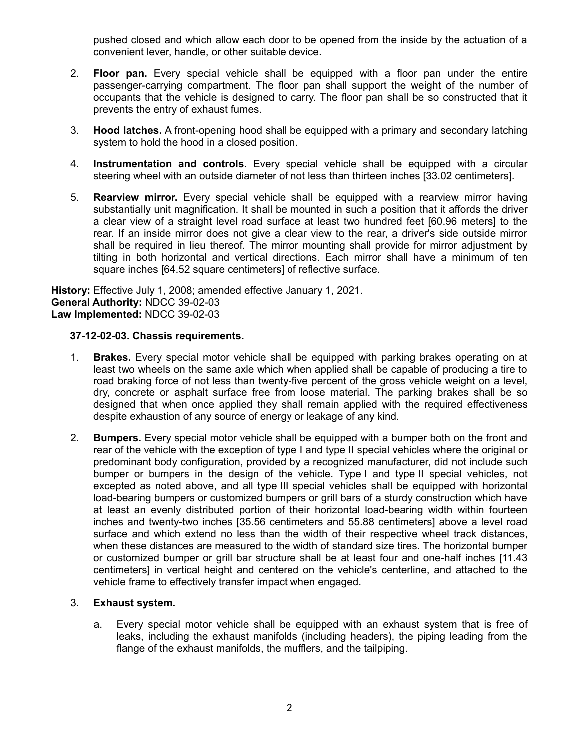pushed closed and which allow each door to be opened from the inside by the actuation of a convenient lever, handle, or other suitable device.

- 2. **Floor pan.** Every special vehicle shall be equipped with a floor pan under the entire passenger-carrying compartment. The floor pan shall support the weight of the number of occupants that the vehicle is designed to carry. The floor pan shall be so constructed that it prevents the entry of exhaust fumes.
- 3. **Hood latches.** A front-opening hood shall be equipped with a primary and secondary latching system to hold the hood in a closed position.
- 4. **Instrumentation and controls.** Every special vehicle shall be equipped with a circular steering wheel with an outside diameter of not less than thirteen inches [33.02 centimeters].
- 5. **Rearview mirror.** Every special vehicle shall be equipped with a rearview mirror having substantially unit magnification. It shall be mounted in such a position that it affords the driver a clear view of a straight level road surface at least two hundred feet [60.96 meters] to the rear. If an inside mirror does not give a clear view to the rear, a driver's side outside mirror shall be required in lieu thereof. The mirror mounting shall provide for mirror adjustment by tilting in both horizontal and vertical directions. Each mirror shall have a minimum of ten square inches [64.52 square centimeters] of reflective surface.

**History:** Effective July 1, 2008; amended effective January 1, 2021. **General Authority:** NDCC 39-02-03 **Law Implemented:** NDCC 39-02-03

## **37-12-02-03. Chassis requirements.**

- 1. **Brakes.** Every special motor vehicle shall be equipped with parking brakes operating on at least two wheels on the same axle which when applied shall be capable of producing a tire to road braking force of not less than twenty-five percent of the gross vehicle weight on a level, dry, concrete or asphalt surface free from loose material. The parking brakes shall be so designed that when once applied they shall remain applied with the required effectiveness despite exhaustion of any source of energy or leakage of any kind.
- 2. **Bumpers.** Every special motor vehicle shall be equipped with a bumper both on the front and rear of the vehicle with the exception of type I and type II special vehicles where the original or predominant body configuration, provided by a recognized manufacturer, did not include such bumper or bumpers in the design of the vehicle. Type I and type II special vehicles, not excepted as noted above, and all type III special vehicles shall be equipped with horizontal load-bearing bumpers or customized bumpers or grill bars of a sturdy construction which have at least an evenly distributed portion of their horizontal load-bearing width within fourteen inches and twenty-two inches [35.56 centimeters and 55.88 centimeters] above a level road surface and which extend no less than the width of their respective wheel track distances, when these distances are measured to the width of standard size tires. The horizontal bumper or customized bumper or grill bar structure shall be at least four and one-half inches [11.43 centimeters] in vertical height and centered on the vehicle's centerline, and attached to the vehicle frame to effectively transfer impact when engaged.

## 3. **Exhaust system.**

a. Every special motor vehicle shall be equipped with an exhaust system that is free of leaks, including the exhaust manifolds (including headers), the piping leading from the flange of the exhaust manifolds, the mufflers, and the tailpiping.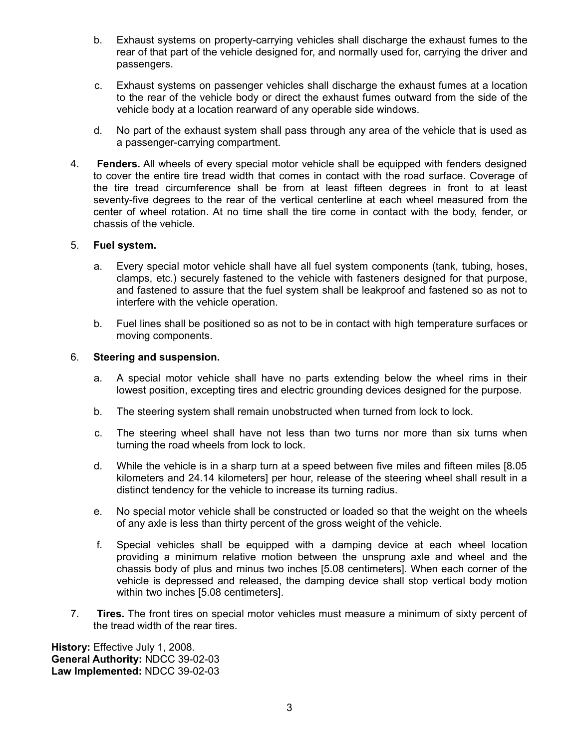- b. Exhaust systems on property-carrying vehicles shall discharge the exhaust fumes to the rear of that part of the vehicle designed for, and normally used for, carrying the driver and passengers.
- c. Exhaust systems on passenger vehicles shall discharge the exhaust fumes at a location to the rear of the vehicle body or direct the exhaust fumes outward from the side of the vehicle body at a location rearward of any operable side windows.
- d. No part of the exhaust system shall pass through any area of the vehicle that is used as a passenger-carrying compartment.
- 4. **Fenders.** All wheels of every special motor vehicle shall be equipped with fenders designed to cover the entire tire tread width that comes in contact with the road surface. Coverage of the tire tread circumference shall be from at least fifteen degrees in front to at least seventy-five degrees to the rear of the vertical centerline at each wheel measured from the center of wheel rotation. At no time shall the tire come in contact with the body, fender, or chassis of the vehicle.

#### 5. **Fuel system.**

- a. Every special motor vehicle shall have all fuel system components (tank, tubing, hoses, clamps, etc.) securely fastened to the vehicle with fasteners designed for that purpose, and fastened to assure that the fuel system shall be leakproof and fastened so as not to interfere with the vehicle operation.
- b. Fuel lines shall be positioned so as not to be in contact with high temperature surfaces or moving components.

#### 6. **Steering and suspension.**

- a. A special motor vehicle shall have no parts extending below the wheel rims in their lowest position, excepting tires and electric grounding devices designed for the purpose.
- b. The steering system shall remain unobstructed when turned from lock to lock.
- c. The steering wheel shall have not less than two turns nor more than six turns when turning the road wheels from lock to lock.
- d. While the vehicle is in a sharp turn at a speed between five miles and fifteen miles [8.05 kilometers and 24.14 kilometers] per hour, release of the steering wheel shall result in a distinct tendency for the vehicle to increase its turning radius.
- e. No special motor vehicle shall be constructed or loaded so that the weight on the wheels of any axle is less than thirty percent of the gross weight of the vehicle.
- f. Special vehicles shall be equipped with a damping device at each wheel location providing a minimum relative motion between the unsprung axle and wheel and the chassis body of plus and minus two inches [5.08 centimeters]. When each corner of the vehicle is depressed and released, the damping device shall stop vertical body motion within two inches [5.08 centimeters].
- 7. **Tires.** The front tires on special motor vehicles must measure a minimum of sixty percent of the tread width of the rear tires.

**History:** Effective July 1, 2008. **General Authority:** NDCC 39-02-03 **Law Implemented:** NDCC 39-02-03